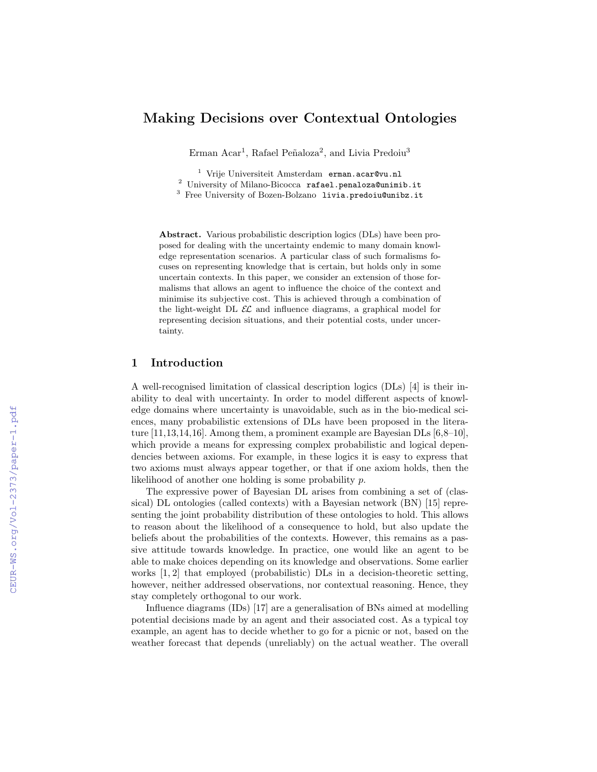# Making Decisions over Contextual Ontologies

Erman Acar<sup>1</sup>, Rafael Peñaloza<sup>2</sup>, and Livia Predoiu<sup>3</sup>

<sup>1</sup> Vrije Universiteit Amsterdam erman.acar@vu.nl

<sup>2</sup> University of Milano-Bicocca rafael.penaloza@unimib.it

<sup>3</sup> Free University of Bozen-Bolzano livia.predoiu@unibz.it

Abstract. Various probabilistic description logics (DLs) have been proposed for dealing with the uncertainty endemic to many domain knowledge representation scenarios. A particular class of such formalisms focuses on representing knowledge that is certain, but holds only in some uncertain contexts. In this paper, we consider an extension of those formalisms that allows an agent to influence the choice of the context and minimise its subjective cost. This is achieved through a combination of the light-weight DL  $\mathcal{EL}$  and influence diagrams, a graphical model for representing decision situations, and their potential costs, under uncertainty.

## 1 Introduction

A well-recognised limitation of classical description logics (DLs) [4] is their inability to deal with uncertainty. In order to model different aspects of knowledge domains where uncertainty is unavoidable, such as in the bio-medical sciences, many probabilistic extensions of DLs have been proposed in the literature  $[11,13,14,16]$ . Among them, a prominent example are Bayesian DLs  $[6,8-10]$ , which provide a means for expressing complex probabilistic and logical dependencies between axioms. For example, in these logics it is easy to express that two axioms must always appear together, or that if one axiom holds, then the likelihood of another one holding is some probability p.

The expressive power of Bayesian DL arises from combining a set of (classical) DL ontologies (called contexts) with a Bayesian network (BN) [15] representing the joint probability distribution of these ontologies to hold. This allows to reason about the likelihood of a consequence to hold, but also update the beliefs about the probabilities of the contexts. However, this remains as a passive attitude towards knowledge. In practice, one would like an agent to be able to make choices depending on its knowledge and observations. Some earlier works [1, 2] that employed (probabilistic) DLs in a decision-theoretic setting, however, neither addressed observations, nor contextual reasoning. Hence, they stay completely orthogonal to our work.

Influence diagrams (IDs) [17] are a generalisation of BNs aimed at modelling potential decisions made by an agent and their associated cost. As a typical toy example, an agent has to decide whether to go for a picnic or not, based on the weather forecast that depends (unreliably) on the actual weather. The overall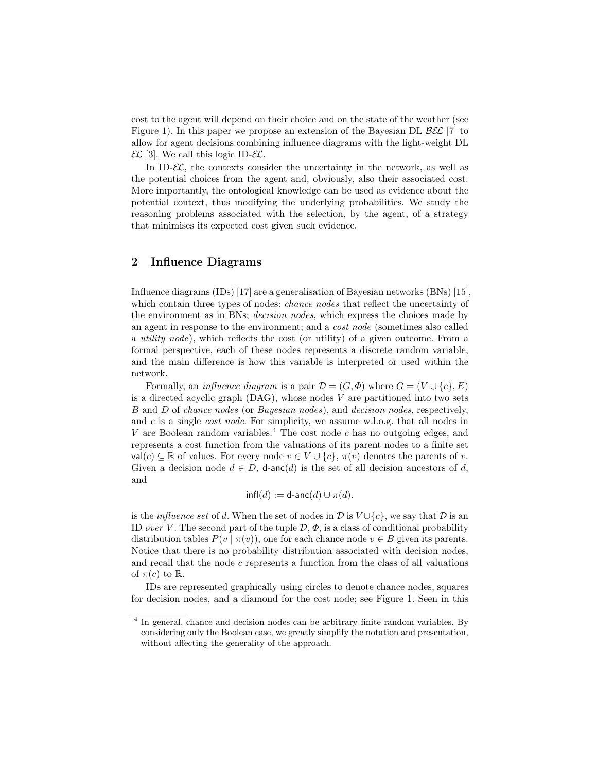cost to the agent will depend on their choice and on the state of the weather (see Figure 1). In this paper we propose an extension of the Bayesian DL  $\beta \mathcal{EL}$  [7] to allow for agent decisions combining influence diagrams with the light-weight DL  $\mathcal{EL}$  [3]. We call this logic ID- $\mathcal{EL}$ .

In ID- $\mathcal{EL}$ , the contexts consider the uncertainty in the network, as well as the potential choices from the agent and, obviously, also their associated cost. More importantly, the ontological knowledge can be used as evidence about the potential context, thus modifying the underlying probabilities. We study the reasoning problems associated with the selection, by the agent, of a strategy that minimises its expected cost given such evidence.

## 2 Influence Diagrams

Influence diagrams (IDs) [17] are a generalisation of Bayesian networks (BNs) [15], which contain three types of nodes: *chance nodes* that reflect the uncertainty of the environment as in BNs; decision nodes, which express the choices made by an agent in response to the environment; and a cost node (sometimes also called a utility node), which reflects the cost (or utility) of a given outcome. From a formal perspective, each of these nodes represents a discrete random variable, and the main difference is how this variable is interpreted or used within the network.

Formally, an *influence diagram* is a pair  $\mathcal{D} = (G, \Phi)$  where  $G = (V \cup \{c\}, E)$ is a directed acyclic graph  $(DAG)$ , whose nodes V are partitioned into two sets B and D of chance nodes (or Bayesian nodes), and decision nodes, respectively, and  $c$  is a single *cost node*. For simplicity, we assume w.l.o.g. that all nodes in V are Boolean random variables.<sup>4</sup> The cost node  $c$  has no outgoing edges, and represents a cost function from the valuations of its parent nodes to a finite set  $val(c) \subseteq \mathbb{R}$  of values. For every node  $v \in V \cup \{c\}, \pi(v)$  denotes the parents of v. Given a decision node  $d \in D$ , **d**-anc $(d)$  is the set of all decision ancestors of d, and

$$
\mathsf{infl}(d) := \mathsf{d}\text{-}\mathsf{anc}(d) \cup \pi(d).
$$

is the *influence set* of d. When the set of nodes in  $\mathcal{D}$  is  $V \cup \{c\}$ , we say that  $\mathcal{D}$  is an ID over V. The second part of the tuple  $\mathcal{D}, \Phi$ , is a class of conditional probability distribution tables  $P(v \mid \pi(v))$ , one for each chance node  $v \in B$  given its parents. Notice that there is no probability distribution associated with decision nodes, and recall that the node  $c$  represents a function from the class of all valuations of  $\pi(c)$  to  $\mathbb{R}$ .

IDs are represented graphically using circles to denote chance nodes, squares for decision nodes, and a diamond for the cost node; see Figure 1. Seen in this

<sup>&</sup>lt;sup>4</sup> In general, chance and decision nodes can be arbitrary finite random variables. By considering only the Boolean case, we greatly simplify the notation and presentation, without affecting the generality of the approach.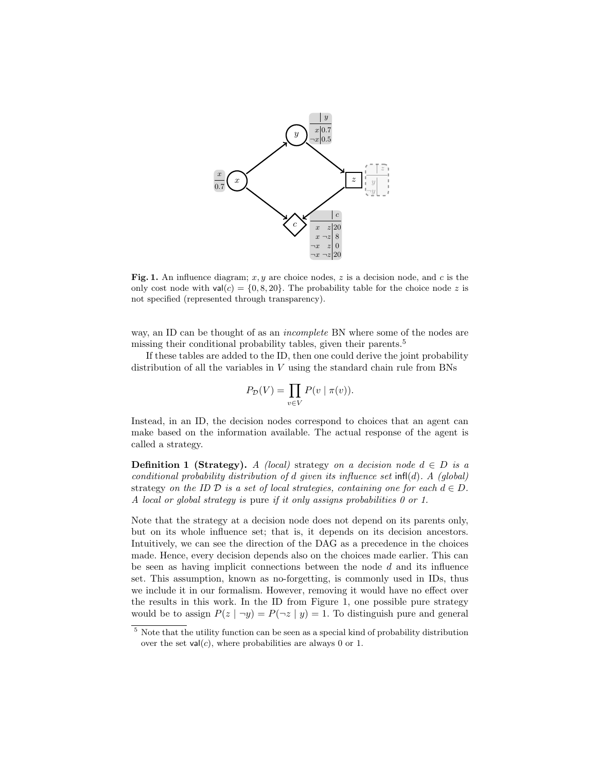

Fig. 1. An influence diagram;  $x, y$  are choice nodes, z is a decision node, and c is the only cost node with  $val(c) = \{0, 8, 20\}$ . The probability table for the choice node z is not specified (represented through transparency).

way, an ID can be thought of as an *incomplete* BN where some of the nodes are missing their conditional probability tables, given their parents.<sup>5</sup>

If these tables are added to the ID, then one could derive the joint probability distribution of all the variables in V using the standard chain rule from BNs

$$
P_{\mathcal{D}}(V) = \prod_{v \in V} P(v \mid \pi(v)).
$$

Instead, in an ID, the decision nodes correspond to choices that an agent can make based on the information available. The actual response of the agent is called a strategy.

**Definition 1 (Strategy).** A (local) strategy on a decision node  $d \in D$  is a conditional probability distribution of d given its influence set  $\text{infl}(d)$ . A (global) strategy on the ID D is a set of local strategies, containing one for each  $d \in D$ . A local or global strategy is pure if it only assigns probabilities 0 or 1.

Note that the strategy at a decision node does not depend on its parents only, but on its whole influence set; that is, it depends on its decision ancestors. Intuitively, we can see the direction of the DAG as a precedence in the choices made. Hence, every decision depends also on the choices made earlier. This can be seen as having implicit connections between the node  $d$  and its influence set. This assumption, known as no-forgetting, is commonly used in IDs, thus we include it in our formalism. However, removing it would have no effect over the results in this work. In the ID from Figure 1, one possible pure strategy would be to assign  $P(z \mid \neg y) = P(\neg z \mid y) = 1$ . To distinguish pure and general

<sup>5</sup> Note that the utility function can be seen as a special kind of probability distribution over the set  $val(c)$ , where probabilities are always 0 or 1.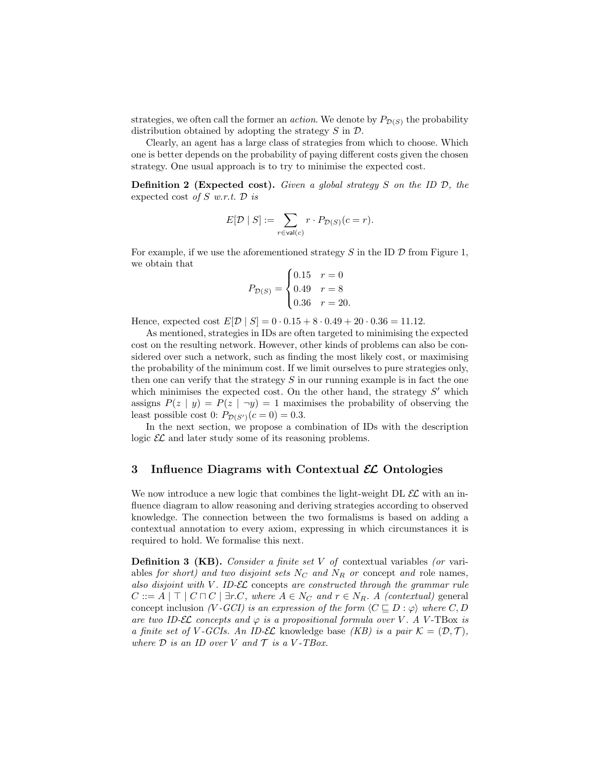strategies, we often call the former an *action*. We denote by  $P_{\mathcal{D}(S)}$  the probability distribution obtained by adopting the strategy  $S$  in  $D$ .

Clearly, an agent has a large class of strategies from which to choose. Which one is better depends on the probability of paying different costs given the chosen strategy. One usual approach is to try to minimise the expected cost.

**Definition 2 (Expected cost).** Given a global strategy S on the ID  $\mathcal{D}$ , the expected cost of  $S$  w.r.t.  $D$  is

$$
E[\mathcal{D} \mid S] := \sum_{r \in \mathrm{val}(c)} r \cdot P_{\mathcal{D}(S)}(c=r).
$$

For example, if we use the aforementioned strategy S in the ID  $\mathcal D$  from Figure 1, we obtain that

$$
P_{\mathcal{D}(S)} = \begin{cases} 0.15 & r = 0 \\ 0.49 & r = 8 \\ 0.36 & r = 20. \end{cases}
$$

Hence, expected cost  $E[\mathcal{D} | S] = 0.015 + 8.049 + 20.036 = 11.12$ .

As mentioned, strategies in IDs are often targeted to minimising the expected cost on the resulting network. However, other kinds of problems can also be considered over such a network, such as finding the most likely cost, or maximising the probability of the minimum cost. If we limit ourselves to pure strategies only, then one can verify that the strategy  $S$  in our running example is in fact the one which minimises the expected cost. On the other hand, the strategy  $S'$  which assigns  $P(z | y) = P(z | \neg y) = 1$  maximises the probability of observing the least possible cost 0:  $P_{\mathcal{D}(S')}(c = 0) = 0.3$ .

In the next section, we propose a combination of IDs with the description logic  $\mathcal{EL}$  and later study some of its reasoning problems.

## 3 Influence Diagrams with Contextual  $\mathcal{EL}$  Ontologies

We now introduce a new logic that combines the light-weight DL  $\mathcal{EL}$  with an influence diagram to allow reasoning and deriving strategies according to observed knowledge. The connection between the two formalisms is based on adding a contextual annotation to every axiom, expressing in which circumstances it is required to hold. We formalise this next.

**Definition 3 (KB).** Consider a finite set  $V$  of contextual variables (or variables for short) and two disjoint sets  $N_c$  and  $N_R$  or concept and role names, also disjoint with  $V$ . ID- $\mathcal{EL}$  concepts are constructed through the grammar rule  $C ::= A | \top | C \sqcap C | \exists r.C$ , where  $A \in N_C$  and  $r \in N_R$ . A (contextual) general concept inclusion (V-GCI) is an expression of the form  $\langle C \sqsubseteq D : \varphi \rangle$  where C, D are two ID-EL concepts and  $\varphi$  is a propositional formula over V. A V-TBox is a finite set of V-GCIs. An ID-EL knowledge base (KB) is a pair  $\mathcal{K} = (\mathcal{D}, \mathcal{T})$ , where  $D$  is an ID over V and  $\mathcal T$  is a V-TBox.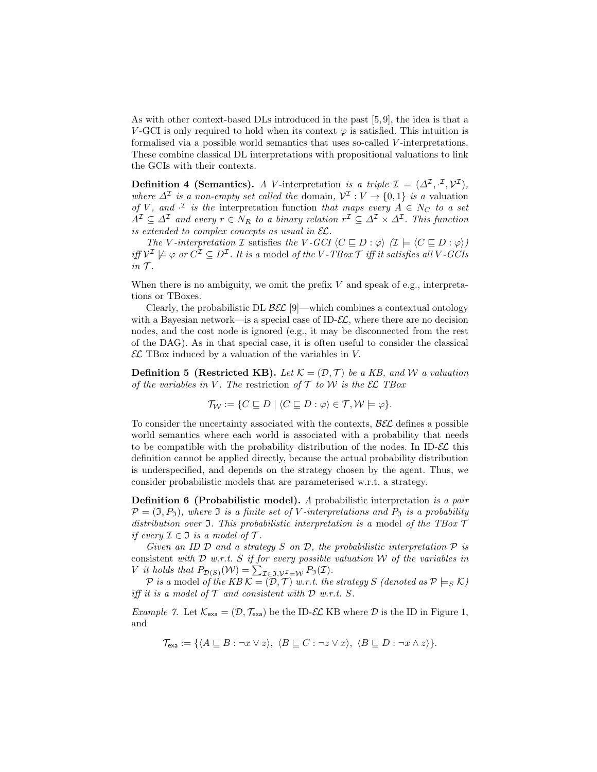As with other context-based DLs introduced in the past [5, 9], the idea is that a V-GCI is only required to hold when its context  $\varphi$  is satisfied. This intuition is formalised via a possible world semantics that uses so-called V -interpretations. These combine classical DL interpretations with propositional valuations to link the GCIs with their contexts.

**Definition 4 (Semantics).** A V-interpretation is a triple  $\mathcal{I} = (\Delta^{\mathcal{I}}, \cdot^{\mathcal{I}}, \mathcal{V}^{\mathcal{I}})$ , where  $\Delta^{\mathcal{I}}$  is a non-empty set called the domain,  $\mathcal{V}^{\mathcal{I}}: V \to \{0,1\}$  is a valuation of V, and  $\mathcal{I}$  is the interpretation function that maps every  $A \in N_C$  to a set  $A^{\mathcal{I}} \subseteq \Delta^{\mathcal{I}}$  and every  $r \in N_R$  to a binary relation  $r^{\mathcal{I}} \subseteq \Delta^{\mathcal{I}} \times \Delta^{\mathcal{I}}$ . This function is extended to complex concepts as usual in  $\mathcal{EL}$ .

The V-interpretation I satisfies the V-GCI  $\langle C \sqsubseteq D : \varphi \rangle$   $(I \models \langle C \sqsubseteq D : \varphi \rangle)$ iff  $\mathcal{V}^{\mathcal{I}}\not\models\varphi$  or  $C^{\mathcal{I}}\subseteq D^{\mathcal{I}}$ . It is a model of the V-TBox  $\mathcal{T}$  iff it satisfies all V-GCIs  $in \mathcal{T}$ .

When there is no ambiguity, we omit the prefix  $V$  and speak of e.g., interpretations or TBoxes.

Clearly, the probabilistic DL  $\mathcal{B}\mathcal{E}\mathcal{L}$  [9]—which combines a contextual ontology with a Bayesian network—is a special case of ID- $\mathcal{EL}$ , where there are no decision nodes, and the cost node is ignored (e.g., it may be disconnected from the rest of the DAG). As in that special case, it is often useful to consider the classical  $\mathcal{EL}$  TBox induced by a valuation of the variables in V.

**Definition 5 (Restricted KB).** Let  $\mathcal{K} = (\mathcal{D}, \mathcal{T})$  be a KB, and W a valuation of the variables in V. The restriction of  $\mathcal T$  to W is the  $\mathcal E\mathcal L$  TBox

$$
\mathcal{T}_{\mathcal{W}} := \{ C \sqsubseteq D \mid \langle C \sqsubseteq D : \varphi \rangle \in \mathcal{T}, \mathcal{W} \models \varphi \}.
$$

To consider the uncertainty associated with the contexts,  $\mathcal{B}\mathcal{E}\mathcal{L}$  defines a possible world semantics where each world is associated with a probability that needs to be compatible with the probability distribution of the nodes. In ID- $\mathcal{EL}$  this definition cannot be applied directly, because the actual probability distribution is underspecified, and depends on the strategy chosen by the agent. Thus, we consider probabilistic models that are parameterised w.r.t. a strategy.

**Definition 6 (Probabilistic model).** A probabilistic interpretation is a pair  $\mathcal{P} = (\mathfrak{I}, P_{\mathfrak{I}})$ , where  $\mathfrak I$  is a finite set of V-interpretations and  $P_{\mathfrak{I}}$  is a probability distribution over  $\mathfrak I$ . This probabilistic interpretation is a model of the TBox  $\mathcal T$ if every  $\mathcal{I} \in \mathfrak{I}$  is a model of  $\mathcal{T}$ .

Given an ID  $D$  and a strategy  $S$  on  $D$ , the probabilistic interpretation  $P$  is consistent with  $\mathcal D$  w.r.t. S if for every possible valuation W of the variables in V it holds that  $P_{\mathcal{D}(S)}(\mathcal{W}) = \sum_{\mathcal{I} \in \mathfrak{I}, \mathcal{V}^{\mathcal{I}} = \mathcal{W}} P_{\mathfrak{I}}(\mathcal{I}).$ 

 $\mathcal P$  is a model of the KB  $\mathcal K=(\mathcal D,\mathcal T)$  w.r.t. the strategy  $S$  (denoted as  $\mathcal P \models_S \mathcal K)$ iff it is a model of  $\mathcal T$  and consistent with  $\mathcal D$  w.r.t.  $S$ .

*Example 7.* Let  $\mathcal{K}_{\text{exa}} = (\mathcal{D}, \mathcal{T}_{\text{exa}})$  be the ID- $\mathcal{EL}$  KB where  $\mathcal{D}$  is the ID in Figure 1, and

$$
\mathcal{T}_{\text{exa}} := \{ \langle A \sqsubseteq B : \neg x \lor z \rangle, \ \langle B \sqsubseteq C : \neg z \lor x \rangle, \ \langle B \sqsubseteq D : \neg x \land z \rangle \}.
$$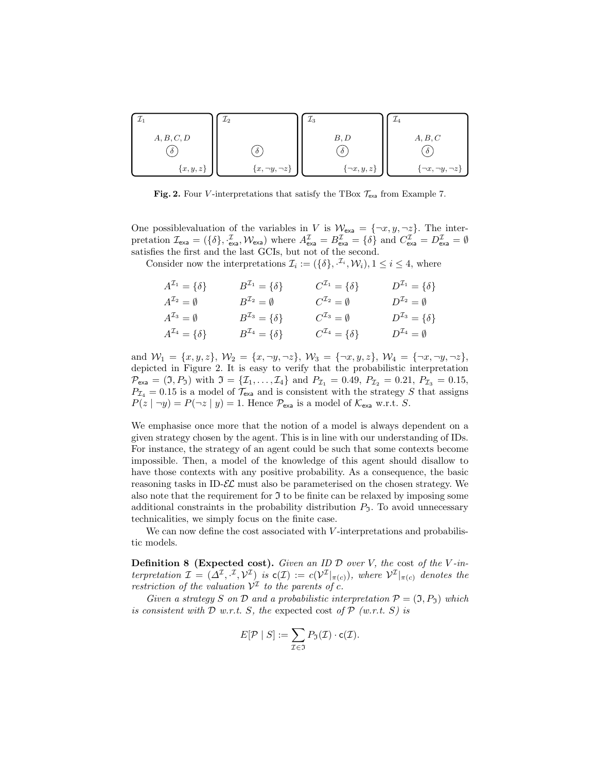| Υ1          | $\perp_2$               | $L_3$              | $\mu_4$                  |
|-------------|-------------------------|--------------------|--------------------------|
| A, B, C, D  |                         | B, D               | A, B, C                  |
| $\delta$    | $\delta$                | $\delta$           | $\delta$                 |
| ${x, y, z}$ | $\{x, \neg y, \neg z\}$ | $\{\neg x, y, z\}$ | $\neg x, \neg y, \neg z$ |

Fig. 2. Four V-interpretations that satisfy the TBox  $\mathcal{T}_{\text{exa}}$  from Example 7.

One possiblevaluation of the variables in V is  $\mathcal{W}_{\text{exa}} = \{\neg x, y, \neg z\}$ . The interpretation  $\mathcal{I}_{\text{exa}} = (\{\delta\}, \frac{\mathcal{I}}{\text{exa}}, \mathcal{W}_{\text{exa}})$  where  $A_{\text{exa}}^{\mathcal{I}} = B_{\text{exa}}^{\mathcal{I}} = \{\delta\}$  and  $C_{\text{exa}}^{\mathcal{I}} = D_{\text{exa}}^{\mathcal{I}} = \emptyset$ satisfies the first and the last GCIs, but not of the second.

Consider now the interpretations  $\mathcal{I}_i := (\{\delta\}, \mathcal{I}_i, \mathcal{W}_i), 1 \leq i \leq 4$ , where

| $A^{\mathcal{I}_1} = \{\delta\}$ | $B^{\mathcal{I}_1}=\{\delta\}$   | $C^{L_1} = \{\delta\}$           | $D^{2_1} = \{\delta\}$ |
|----------------------------------|----------------------------------|----------------------------------|------------------------|
| $A^{\mathcal{I}_2} = \emptyset$  | $B^{{\cal I}_2}=\emptyset$       | $C^{\mathcal{I}_2}=\emptyset$    | $D^{x_2} = \emptyset$  |
| $A^{L_3} = \emptyset$            | $B^{\mathcal{I}_3}=\{\delta\}$   | $C^{\mathcal{I}_3}=\emptyset$    | $D^{x_3} = \{\delta\}$ |
| $A^{\mathcal{I}_4} = \{\delta\}$ | $B^{\mathcal{I}_4} = \{\delta\}$ | $C^{\mathcal{I}_4} = \{\delta\}$ | $D^{L_4} = \emptyset$  |

and  $W_1 = \{x, y, z\}, W_2 = \{x, \neg y, \neg z\}, W_3 = \{\neg x, y, z\}, W_4 = \{\neg x, \neg y, \neg z\},$ depicted in Figure 2. It is easy to verify that the probabilistic interpretation  $\mathcal{P}_{\textsf{exa}} = (\mathfrak{I}, P_{\mathfrak{I}})$  with  $\mathfrak{I} = \{\mathcal{I}_1, \dots, \mathcal{I}_4\}$  and  $P_{\mathcal{I}_1} = 0.49, P_{\mathcal{I}_2} = 0.21, P_{\mathcal{I}_3} = 0.15,$  $P_{\mathcal{I}_4} = 0.15$  is a model of  $\mathcal{T}_{\text{exa}}$  and is consistent with the strategy S that assigns  $P(z \mid \neg y) = P(\neg z \mid y) = 1$ . Hence  $\mathcal{P}_{\text{exa}}$  is a model of  $\mathcal{K}_{\text{exa}}$  w.r.t. S.

We emphasise once more that the notion of a model is always dependent on a given strategy chosen by the agent. This is in line with our understanding of IDs. For instance, the strategy of an agent could be such that some contexts become impossible. Then, a model of the knowledge of this agent should disallow to have those contexts with any positive probability. As a consequence, the basic reasoning tasks in ID- $\mathcal{EL}$  must also be parameterised on the chosen strategy. We also note that the requirement for  $\mathfrak I$  to be finite can be relaxed by imposing some additional constraints in the probability distribution  $P<sub>7</sub>$ . To avoid unnecessary technicalities, we simply focus on the finite case.

We can now define the cost associated with  $V$ -interpretations and probabilistic models.

**Definition 8 (Expected cost).** Given an ID  $D$  over V, the cost of the V-interpretation  $\mathcal{I} = (\Delta^{\mathcal{I}}, \cdot^{\mathcal{I}}, \mathcal{V}^{\mathcal{I}})$  is  $c(\mathcal{I}) := c(\mathcal{V}^{\mathcal{I}}|_{\pi(c)})$ , where  $\mathcal{V}^{\mathcal{I}}|_{\pi(c)}$  denotes the restriction of the valuation  $\mathcal{V}^{\mathcal{I}}$  to the parents of c.

Given a strategy S on D and a probabilistic interpretation  $\mathcal{P} = (\mathfrak{I}, P_{\mathfrak{I}})$  which is consistent with  $\mathcal D$  w.r.t. S, the expected cost of  $\mathcal P$  (w.r.t. S) is

$$
E[\mathcal{P} | S] := \sum_{\mathcal{I} \in \mathfrak{I}} P_{\mathfrak{I}}(\mathcal{I}) \cdot \mathsf{c}(\mathcal{I}).
$$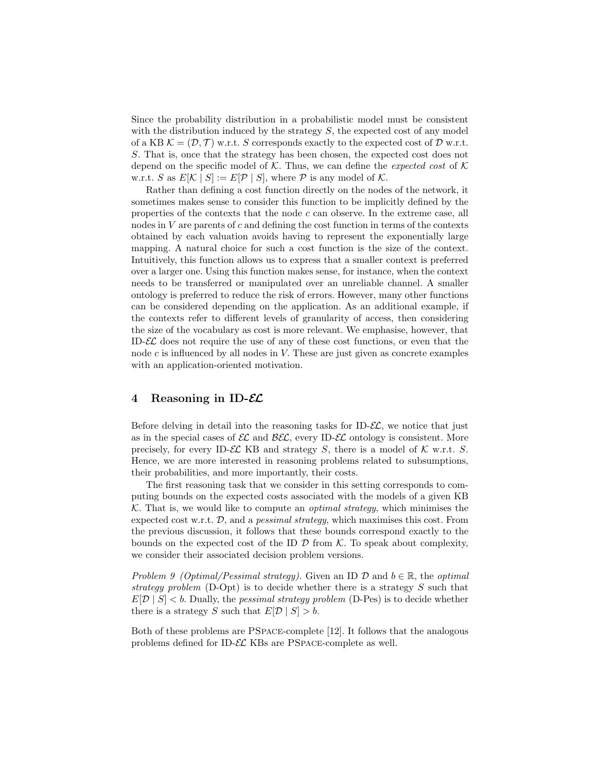Since the probability distribution in a probabilistic model must be consistent with the distribution induced by the strategy  $S$ , the expected cost of any model of a KB  $\mathcal{K} = (\mathcal{D}, \mathcal{T})$  w.r.t. S corresponds exactly to the expected cost of  $\mathcal{D}$  w.r.t. S. That is, once that the strategy has been chosen, the expected cost does not depend on the specific model of  $K$ . Thus, we can define the *expected cost* of  $K$ w.r.t. S as  $E[\mathcal{K} | S] := E[\mathcal{P} | S]$ , where  $\mathcal P$  is any model of  $\mathcal K$ .

Rather than defining a cost function directly on the nodes of the network, it sometimes makes sense to consider this function to be implicitly defined by the properties of the contexts that the node c can observe. In the extreme case, all nodes in  $V$  are parents of  $c$  and defining the cost function in terms of the contexts obtained by each valuation avoids having to represent the exponentially large mapping. A natural choice for such a cost function is the size of the context. Intuitively, this function allows us to express that a smaller context is preferred over a larger one. Using this function makes sense, for instance, when the context needs to be transferred or manipulated over an unreliable channel. A smaller ontology is preferred to reduce the risk of errors. However, many other functions can be considered depending on the application. As an additional example, if the contexts refer to different levels of granularity of access, then considering the size of the vocabulary as cost is more relevant. We emphasise, however, that ID- $\mathcal{EL}$  does not require the use of any of these cost functions, or even that the node  $c$  is influenced by all nodes in  $V$ . These are just given as concrete examples with an application-oriented motivation.

## 4 Reasoning in ID- $\mathcal{EL}$

Before delving in detail into the reasoning tasks for ID- $\mathcal{EL}$ , we notice that just as in the special cases of  $\mathcal{EL}$  and  $\mathcal{BEL}$ , every ID- $\mathcal{EL}$  ontology is consistent. More precisely, for every ID- $\mathcal{EL}$  KB and strategy S, there is a model of  $\mathcal K$  w.r.t. S. Hence, we are more interested in reasoning problems related to subsumptions, their probabilities, and more importantly, their costs.

The first reasoning task that we consider in this setting corresponds to computing bounds on the expected costs associated with the models of a given KB  $K$ . That is, we would like to compute an *optimal strategy*, which minimises the expected cost w.r.t.  $\mathcal{D}$ , and a *pessimal strategy*, which maximises this cost. From the previous discussion, it follows that these bounds correspond exactly to the bounds on the expected cost of the ID  $\mathcal D$  from K. To speak about complexity, we consider their associated decision problem versions.

Problem 9 (Optimal/Pessimal strategy). Given an ID  $\mathcal D$  and  $b \in \mathbb R$ , the optimal strategy problem (D-Opt) is to decide whether there is a strategy S such that  $E[D \mid S] < b$ . Dually, the *pessimal strategy problem* (D-Pes) is to decide whether there is a strategy S such that  $E[D \mid S] > b$ .

Both of these problems are PSpace-complete [12]. It follows that the analogous problems defined for ID-EL KBs are PSpace-complete as well.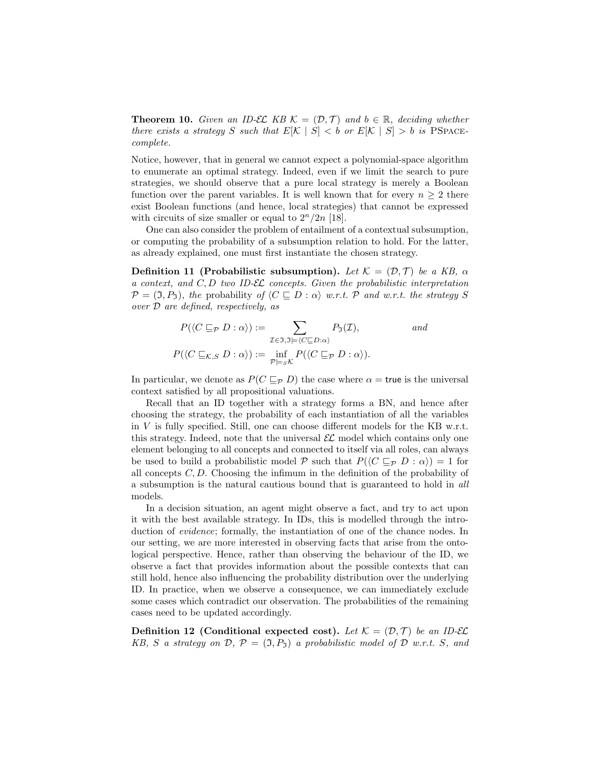**Theorem 10.** Given an ID-EL KB  $\mathcal{K} = (\mathcal{D}, \mathcal{T})$  and  $b \in \mathbb{R}$ , deciding whether there exists a strategy S such that  $E[\mathcal{K} | S] < b$  or  $E[\mathcal{K} | S] > b$  is PSPACEcomplete.

Notice, however, that in general we cannot expect a polynomial-space algorithm to enumerate an optimal strategy. Indeed, even if we limit the search to pure strategies, we should observe that a pure local strategy is merely a Boolean function over the parent variables. It is well known that for every  $n \geq 2$  there exist Boolean functions (and hence, local strategies) that cannot be expressed with circuits of size smaller or equal to  $2^n/2n$  [18].

One can also consider the problem of entailment of a contextual subsumption, or computing the probability of a subsumption relation to hold. For the latter, as already explained, one must first instantiate the chosen strategy.

Definition 11 (Probabilistic subsumption). Let  $\mathcal{K} = (\mathcal{D}, \mathcal{T})$  be a KB,  $\alpha$ a context, and  $C, D$  two ID- $\mathcal{EL}$  concepts. Given the probabilistic interpretation  $\mathcal{P} = (\mathfrak{I}, P_{\mathfrak{I}})$ , the probability of  $\langle C \sqsubseteq D : \alpha \rangle$  w.r.t. P and w.r.t. the strategy S over D are defined, respectively, as

$$
P(\langle C \sqsubseteq_{\mathcal{P}} D : \alpha \rangle) := \sum_{\mathcal{I} \in \mathfrak{I}, \mathfrak{I} \models \langle C \sqsubseteq D : \alpha \rangle} P_{\mathfrak{I}}(\mathcal{I}), \qquad \text{and}
$$

$$
P(\langle C \sqsubseteq_{\mathcal{K},S} D : \alpha \rangle) := \inf_{\mathcal{P} \models_{\mathcal{S}} \mathcal{K}} P(\langle C \sqsubseteq_{\mathcal{P}} D : \alpha \rangle).
$$

In particular, we denote as  $P(C \sqsubseteq_{\mathcal{P}} D)$  the case where  $\alpha$  = true is the universal context satisfied by all propositional valuations.

Recall that an ID together with a strategy forms a BN, and hence after choosing the strategy, the probability of each instantiation of all the variables in V is fully specified. Still, one can choose different models for the KB w.r.t. this strategy. Indeed, note that the universal  $\mathcal{EL}$  model which contains only one element belonging to all concepts and connected to itself via all roles, can always be used to build a probabilistic model P such that  $P(\langle C \sqsubseteq_{\mathcal{P}} D : \alpha \rangle) = 1$  for all concepts  $C, D$ . Choosing the infimum in the definition of the probability of a subsumption is the natural cautious bound that is guaranteed to hold in all models.

In a decision situation, an agent might observe a fact, and try to act upon it with the best available strategy. In IDs, this is modelled through the introduction of *evidence*; formally, the instantiation of one of the chance nodes. In our setting, we are more interested in observing facts that arise from the ontological perspective. Hence, rather than observing the behaviour of the ID, we observe a fact that provides information about the possible contexts that can still hold, hence also influencing the probability distribution over the underlying ID. In practice, when we observe a consequence, we can immediately exclude some cases which contradict our observation. The probabilities of the remaining cases need to be updated accordingly.

**Definition 12** (Conditional expected cost). Let  $\mathcal{K} = (\mathcal{D}, \mathcal{T})$  be an ID-EL KB, S a strategy on  $\mathcal{D}, \mathcal{P} = (\mathfrak{I}, P_{\mathfrak{I}})$  a probabilistic model of  $\mathcal D$  w.r.t. S, and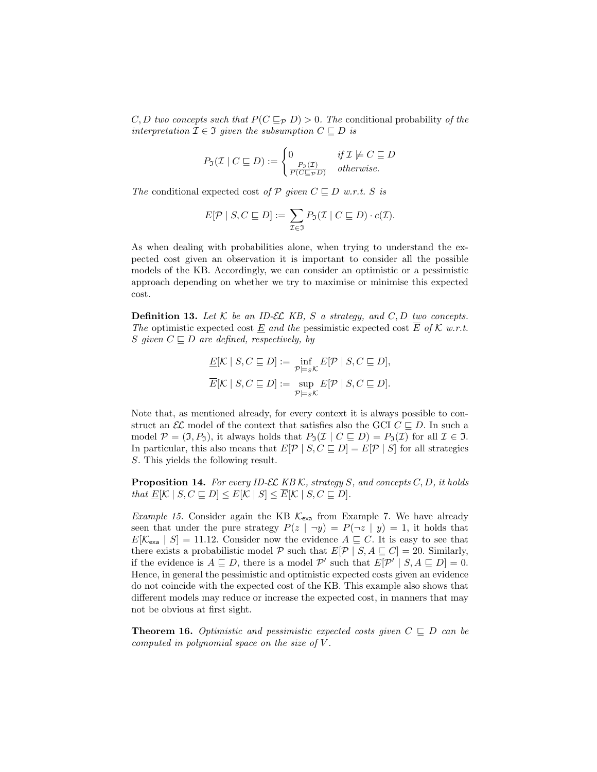C, D two concepts such that  $P(C \sqsubseteq_{\mathcal{P}} D) > 0$ . The conditional probability of the interpretation  $\mathcal{I} \in \mathfrak{I}$  given the subsumption  $C \sqsubseteq D$  is

$$
P_{\mathfrak{I}}(\mathcal{I} \mid C \sqsubseteq D) := \begin{cases} 0 & \text{if } \mathcal{I} \not\models C \sqsubseteq D \\ \frac{P_{\mathfrak{I}}(\mathcal{I})}{P(C \sqsubseteq_{\mathcal{P}} D)} & \text{otherwise.} \end{cases}
$$

The conditional expected cost of P given  $C \sqsubseteq D$  w.r.t. S is

$$
E[\mathcal{P} \mid S, C \sqsubseteq D] := \sum_{\mathcal{I} \in \mathfrak{I}} P_{\mathfrak{I}}(\mathcal{I} \mid C \sqsubseteq D) \cdot c(\mathcal{I}).
$$

As when dealing with probabilities alone, when trying to understand the expected cost given an observation it is important to consider all the possible models of the KB. Accordingly, we can consider an optimistic or a pessimistic approach depending on whether we try to maximise or minimise this expected cost.

**Definition 13.** Let  $K$  be an ID-EL KB, S a strategy, and  $C, D$  two concepts. The optimistic expected cost  $\underline{E}$  and the pessimistic expected cost  $\overline{E}$  of  $K$  w.r.t. S given  $C \sqsubseteq D$  are defined, respectively, by

$$
\underline{E}[\mathcal{K} \mid S, C \sqsubseteq D] := \inf_{\mathcal{P} \models s\mathcal{K}} E[\mathcal{P} \mid S, C \sqsubseteq D],
$$
  

$$
\overline{E}[\mathcal{K} \mid S, C \sqsubseteq D] := \sup_{\mathcal{P} \models s\mathcal{K}} E[\mathcal{P} \mid S, C \sqsubseteq D].
$$

Note that, as mentioned already, for every context it is always possible to construct an  $\mathcal{EL}$  model of the context that satisfies also the GCI  $C \sqsubset D$ . In such a model  $\mathcal{P} = (\mathfrak{I}, P_{\mathfrak{I}})$ , it always holds that  $P_{\mathfrak{I}}(\mathcal{I} \mid C \sqsubseteq D) = P_{\mathfrak{I}}(\mathcal{I})$  for all  $\mathcal{I} \in \mathfrak{I}$ . In particular, this also means that  $E[P \mid S, C \sqsubseteq D] = E[P \mid S]$  for all strategies S. This yields the following result.

**Proposition 14.** For every ID-EL KB K, strategy S, and concepts  $C, D$ , it holds that  $E[\mathcal{K} \mid S, C \sqsubseteq D] \leq E[\mathcal{K} \mid S] \leq \overline{E}[\mathcal{K} \mid S, C \sqsubseteq D].$ 

*Example 15.* Consider again the KB  $K_{\text{exa}}$  from Example 7. We have already seen that under the pure strategy  $P(z | \neg y) = P(\neg z | y) = 1$ , it holds that  $E[\mathcal{K}_{\rm exa} \mid S] = 11.12$ . Consider now the evidence  $A \subseteq C$ . It is easy to see that there exists a probabilistic model P such that  $E[\mathcal{P} | S, A \subseteq C] = 20$ . Similarly, if the evidence is  $A \subseteq D$ , there is a model P' such that  $E[P' | S, A \subseteq D] = 0$ . Hence, in general the pessimistic and optimistic expected costs given an evidence do not coincide with the expected cost of the KB. This example also shows that different models may reduce or increase the expected cost, in manners that may not be obvious at first sight.

**Theorem 16.** Optimistic and pessimistic expected costs given  $C \subseteq D$  can be computed in polynomial space on the size of  $V$ .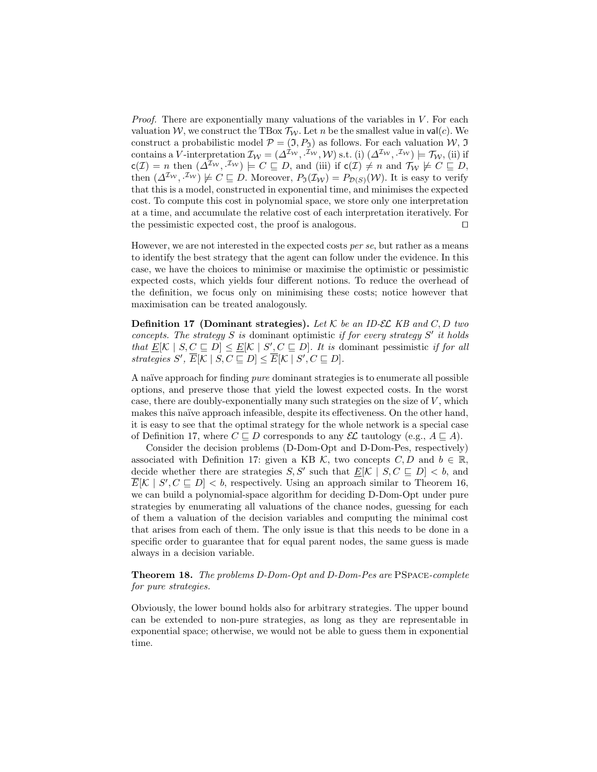*Proof.* There are exponentially many valuations of the variables in  $V$ . For each valuation W, we construct the TBox  $\mathcal{T}_{W}$ . Let n be the smallest value in val(c). We construct a probabilistic model  $\mathcal{P} = (\mathfrak{I}, P_{\mathfrak{I}})$  as follows. For each valuation  $\mathcal{W}, \mathfrak{I}$ contains a V-interpretation  $\mathcal{I}_{\mathcal{W}} = (\Delta^{\mathcal{I}_{\mathcal{W}}}, \mathcal{I}_{\mathcal{W}}, \mathcal{W})$  s.t. (i)  $(\Delta^{\mathcal{I}_{\mathcal{W}}}, \mathcal{I}_{\mathcal{W}}) \models \mathcal{T}_{\mathcal{W}}$ , (ii) if  $c(\mathcal{I}) = n$  then  $(\Delta^{I_{\mathcal{W}}}, \mathcal{I}_{\mathcal{W}}) \models C \sqsubseteq D$ , and (iii) if  $c(\mathcal{I}) \neq n$  and  $\mathcal{T}_{\mathcal{W}} \not\models C \sqsubseteq D$ , then  $(\Delta^{I_W}, {}^{I_W}) \not\models C \sqsubseteq D$ . Moreover,  $P_{\mathfrak{I}}(\mathcal{I}_W) = P_{\mathcal{D}(S)}(\mathcal{W})$ . It is easy to verify that this is a model, constructed in exponential time, and minimises the expected cost. To compute this cost in polynomial space, we store only one interpretation at a time, and accumulate the relative cost of each interpretation iteratively. For the pessimistic expected cost, the proof is analogous.  $\Box$ 

However, we are not interested in the expected costs per se, but rather as a means to identify the best strategy that the agent can follow under the evidence. In this case, we have the choices to minimise or maximise the optimistic or pessimistic expected costs, which yields four different notions. To reduce the overhead of the definition, we focus only on minimising these costs; notice however that maximisation can be treated analogously.

**Definition 17 (Dominant strategies).** Let K be an ID-EL KB and C, D two concepts. The strategy  $S$  is dominant optimistic if for every strategy  $S'$  it holds that  $\underline{E}[\mathcal{K} | S, C \subseteq D] \leq \underline{E}[\mathcal{K} | S', C \subseteq D]$ . It is dominant pessimistic if for all strategies  $S'$ ,  $\overline{E}[\mathcal{K} \mid S, C \sqsubseteq D] \leq \overline{E}[\mathcal{K} \mid S', C \sqsubseteq D].$ 

A naïve approach for finding *pure* dominant strategies is to enumerate all possible options, and preserve those that yield the lowest expected costs. In the worst case, there are doubly-exponentially many such strategies on the size of  $V$ , which makes this naïve approach infeasible, despite its effectiveness. On the other hand, it is easy to see that the optimal strategy for the whole network is a special case of Definition 17, where  $C \sqsubset D$  corresponds to any  $\mathcal{EL}$  tautology (e.g.,  $A \sqsubset A$ ).

Consider the decision problems (D-Dom-Opt and D-Dom-Pes, respectively) associated with Definition 17: given a KB K, two concepts  $C, D$  and  $b \in \mathbb{R}$ , decide whether there are strategies  $S, S'$  such that  $\underline{E}[K | S, C \subseteq D] < b$ , and  $\overline{E}[\mathcal{K} \mid S', C \sqsubseteq D] < b$ , respectively. Using an approach similar to Theorem 16, we can build a polynomial-space algorithm for deciding D-Dom-Opt under pure strategies by enumerating all valuations of the chance nodes, guessing for each of them a valuation of the decision variables and computing the minimal cost that arises from each of them. The only issue is that this needs to be done in a specific order to guarantee that for equal parent nodes, the same guess is made always in a decision variable.

Theorem 18. The problems D-Dom-Opt and D-Dom-Pes are PSpace-complete for pure strategies.

Obviously, the lower bound holds also for arbitrary strategies. The upper bound can be extended to non-pure strategies, as long as they are representable in exponential space; otherwise, we would not be able to guess them in exponential time.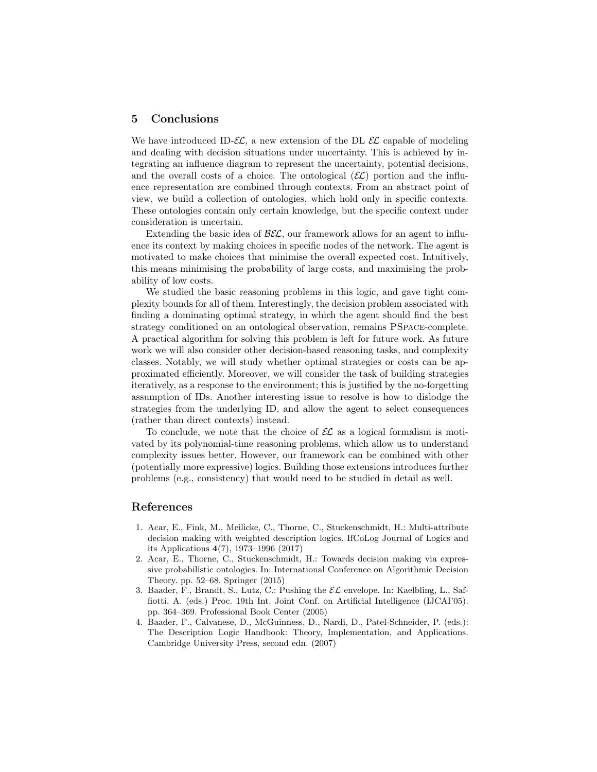## 5 Conclusions

We have introduced ID- $\mathcal{EL}$ , a new extension of the DL  $\mathcal{EL}$  capable of modeling and dealing with decision situations under uncertainty. This is achieved by integrating an influence diagram to represent the uncertainty, potential decisions, and the overall costs of a choice. The ontological  $(\mathcal{EL})$  portion and the influence representation are combined through contexts. From an abstract point of view, we build a collection of ontologies, which hold only in specific contexts. These ontologies contain only certain knowledge, but the specific context under consideration is uncertain.

Extending the basic idea of  $\mathcal{B}\mathcal{E}\mathcal{L}$ , our framework allows for an agent to influence its context by making choices in specific nodes of the network. The agent is motivated to make choices that minimise the overall expected cost. Intuitively, this means minimising the probability of large costs, and maximising the probability of low costs.

We studied the basic reasoning problems in this logic, and gave tight complexity bounds for all of them. Interestingly, the decision problem associated with finding a dominating optimal strategy, in which the agent should find the best strategy conditioned on an ontological observation, remains PSpace-complete. A practical algorithm for solving this problem is left for future work. As future work we will also consider other decision-based reasoning tasks, and complexity classes. Notably, we will study whether optimal strategies or costs can be approximated efficiently. Moreover, we will consider the task of building strategies iteratively, as a response to the environment; this is justified by the no-forgetting assumption of IDs. Another interesting issue to resolve is how to dislodge the strategies from the underlying ID, and allow the agent to select consequences (rather than direct contexts) instead.

To conclude, we note that the choice of  $\mathcal{EL}$  as a logical formalism is motivated by its polynomial-time reasoning problems, which allow us to understand complexity issues better. However, our framework can be combined with other (potentially more expressive) logics. Building those extensions introduces further problems (e.g., consistency) that would need to be studied in detail as well.

## References

- 1. Acar, E., Fink, M., Meilicke, C., Thorne, C., Stuckenschmidt, H.: Multi-attribute decision making with weighted description logics. IfCoLog Journal of Logics and its Applications 4(7), 1973–1996 (2017)
- 2. Acar, E., Thorne, C., Stuckenschmidt, H.: Towards decision making via expressive probabilistic ontologies. In: International Conference on Algorithmic Decision Theory. pp. 52–68. Springer (2015)
- 3. Baader, F., Brandt, S., Lutz, C.: Pushing the  $\mathcal{EL}$  envelope. In: Kaelbling, L., Saffiotti, A. (eds.) Proc. 19th Int. Joint Conf. on Artificial Intelligence (IJCAI'05). pp. 364–369. Professional Book Center (2005)
- 4. Baader, F., Calvanese, D., McGuinness, D., Nardi, D., Patel-Schneider, P. (eds.): The Description Logic Handbook: Theory, Implementation, and Applications. Cambridge University Press, second edn. (2007)